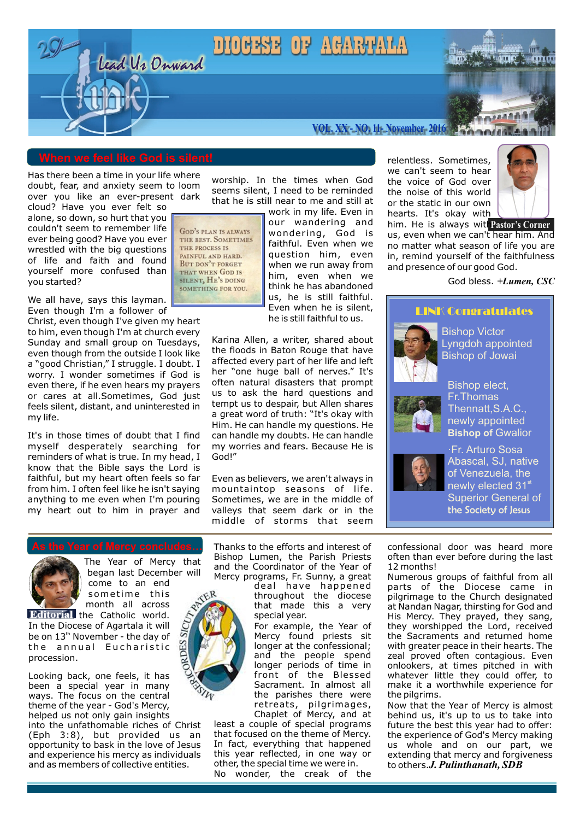# Lead Us Onward DIOCESE OF ACARTALA



**VOL. XX - NO. 11- November 2016**

Has there been a time in your life where doubt, fear, and anxiety seem to loom over you like an ever-present dark

cloud? Have you ever felt so alone, so down, so hurt that you couldn't seem to remember life ever being good? Have you ever wrestled with the big questions of life and faith and found yourself more confused than you started?

We all have, says this layman. Even though I'm a follower of

Christ, even though I've given my heart to him, even though I'm at church every Sunday and small group on Tuesdays, even though from the outside I look like a "good Christian," I struggle. I doubt. I worry. I wonder sometimes if God is even there, if he even hears my prayers or cares at all.Sometimes, God just feels silent, distant, and uninterested in my life.

It's in those times of doubt that I find myself desperately searching for reminders of what is true. In my head, I know that the Bible says the Lord is faithful, but my heart often feels so far from him. I often feel like he isn't saying anything to me even when I'm pouring my heart out to him in prayer and

worship. In the times when God seems silent, I need to be reminded that he is still near to me and still at

GOD'S PLAN IS ALWAYS THE BEST. SOMETIMES THE PROCESS IS PAINFUL AND HARD. **BUT DON'T FORGET** THAT WHEN GOD IS SILENT, HE'S DOING SOMETHING FOR YOU

work in my life. Even in our wandering and wondering, God is faithful. Even when we question him, even when we run away from him, even when we think he has abandoned us, he is still faithful. Even when he is silent, he is still faithful to us.

Karina Allen, a writer, shared about the floods in Baton Rouge that have affected every part of her life and left her "one huge ball of nerves." It's often natural disasters that prompt us to ask the hard questions and tempt us to despair, but Allen shares a great word of truth: "It's okay with Him. He can handle my questions. He can handle my doubts. He can handle my worries and fears. Because He is God!"

Even as believers, we aren't always in mountaintop seasons of life. Sometimes, we are in the middle of valleys that seem dark or in the middle of storms that seem



The Year of Mercy that began last December will come to an end sometime this

month all across **Editorial** the Catholic world. In the Diocese of Agartala it will be on  $13<sup>th</sup>$  November - the day of the annual Eucharistic procession.

Looking back, one feels, it has been a special year in many ways. The focus on the central theme of the year - God's Mercy, helped us not only gain insights

into the unfathomable riches of Christ (Eph 3:8), but provided us an opportunity to bask in the love of Jesus and experience his mercy as individuals and as members of collective entities.

Thanks to the efforts and interest of Bishop Lumen, the Parish Priests and the Coordinator of the Year of Mercy programs, Fr. Sunny, a great

> deal have happened throughout the diocese that made this a very special year.

For example, the Year of Mercy found priests sit longer at the confessional; and the people spend longer periods of time in front of the Blessed Sacrament. In almost all the parishes there were retreats, pilgrimages, Chaplet of Mercy, and at

least a couple of special programs that focused on the theme of Mercy. In fact, everything that happened this year reflected, in one way or other, the special time we were in. No wonder, the creak of the

relentless. Sometimes, we can't seem to hear the voice of God over the noise of this world or the static in our own hearts. It's okay with



him. He is always with Pastor's Corner us, even when we can't hear him. And no matter what season of life you are in, remind yourself of the faithfulness and presence of our good God.

God bless. *+Lumen, CSC*

### LINK Congratulates



Bishop Victor Lyngdoh appointed Bishop of Jowai



Bishop elect, Fr.Thomas Thennatt,S.A.C., newly appointed **Bishop of Gwalior** 



·Fr. Arturo Sosa Abascal, SJ, native of Venezuela, the newly elected 31<sup>st</sup> Superior General of the Society of Jesus

confessional door was heard more often than ever before during the last 12 months!

Numerous groups of faithful from all parts of the Diocese came in pilgrimage to the Church designated at Nandan Nagar, thirsting for God and His Mercy. They prayed, they sang, they worshipped the Lord, received the Sacraments and returned home with greater peace in their hearts. The zeal proved often contagious. Even onlookers, at times pitched in with whatever little they could offer, to make it a worthwhile experience for the pilgrims.

Now that the Year of Mercy is almost behind us, it's up to us to take into future the best this year had to offer: the experience of God's Mercy making us whole and on our part, we extending that mercy and forgiveness to others.*J. Pulinthanath, SDB*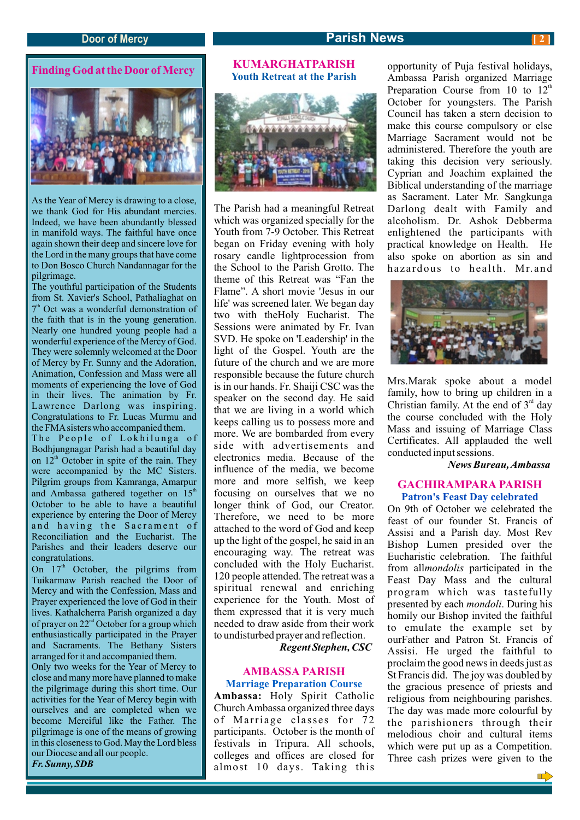### **Door** of Mercy **Parish News**

# **Finding God at the Door of Mercy**



As the Year of Mercy is drawing to a close, we thank God for His abundant mercies. Indeed, we have been abundantly blessed in manifold ways. The faithful have once again shown their deep and sincere love for the Lord in the many groups that have come to Don Bosco Church Nandannagar for the pilgrimage.

The youthful participation of the Students from St. Xavier's School, Pathaliaghat on  $7<sup>th</sup>$  Oct was a wonderful demonstration of the faith that is in the young generation. Nearly one hundred young people had a wonderful experience of the Mercy of God. They were solemnly welcomed at the Door of Mercy by Fr. Sunny and the Adoration, Animation, Confession and Mass were all moments of experiencing the love of God in their lives. The animation by Fr. Lawrence Darlong was inspiring. Congratulations to Fr. Lucas Murmu and the FMA sisters who accompanied them. The People of Lokhilunga of Bodhjungnagar Parish had a beautiful day on  $12<sup>th</sup>$  October in spite of the rain. They

were accompanied by the MC Sisters. Pilgrim groups from Kamranga, Amarpur and Ambassa gathered together on  $15<sup>th</sup>$ October to be able to have a beautiful experience by entering the Door of Mercy and having the Sacrament of Reconciliation and the Eucharist. The Parishes and their leaders deserve our congratulations.

On  $17<sup>th</sup>$  October, the pilgrims from Tuikarmaw Parish reached the Door of Mercy and with the Confession, Mass and Prayer experienced the love of God in their lives. Kathalcherra Parish organized a day of prayer on  $22<sup>nd</sup>$  October for a group which enthusiastically participated in the Prayer and Sacraments. The Bethany Sisters arranged for it and accompanied them. Only two weeks for the Year of Mercy to close and many more have planned to make the pilgrimage during this short time. Our

activities for the Year of Mercy begin with ourselves and are completed when we become Merciful like the Father. The pilgrimage is one of the means of growing in this closeness to God. May the Lord bless our Diocese and all our people. *Fr. Sunny, SDB*

## **KUMARGHATPARISH Youth Retreat at the Parish**



The Parish had a meaningful Retreat which was organized specially for the Youth from 7-9 October. This Retreat began on Friday evening with holy rosary candle lightprocession from the School to the Parish Grotto. The theme of this Retreat was "Fan the Flame". A short movie 'Jesus in our life' was screened later. We began day two with theHoly Eucharist. The Sessions were animated by Fr. Ivan SVD. He spoke on 'Leadership' in the light of the Gospel. Youth are the future of the church and we are more responsible because the future church is in our hands. Fr. Shaiji CSC was the speaker on the second day. He said that we are living in a world which keeps calling us to possess more and more. We are bombarded from every side with advertisements and electronics media. Because of the influence of the media, we become more and more selfish, we keep focusing on ourselves that we no longer think of God, our Creator. Therefore, we need to be more attached to the word of God and keep up the light of the gospel, he said in an encouraging way. The retreat was concluded with the Holy Eucharist. 120 people attended. The retreat was a spiritual renewal and enriching experience for the Youth. Most of them expressed that it is very much needed to draw aside from their work to undisturbed prayer and reflection.

 *Regent Stephen, CSC*

### **AMBASSA PARISH**

### **Marriage Preparation Course**

**Ambassa:** Holy Spirit Catholic Church Ambassa organized three days of Marriage classes for 72 participants. October is the month of festivals in Tripura. All schools, colleges and offices are closed for almost 10 days. Taking this

opportunity of Puja festival holidays, Ambassa Parish organized Marriage Preparation Course from 10 to  $12<sup>th</sup>$ October for youngsters. The Parish Council has taken a stern decision to make this course compulsory or else Marriage Sacrament would not be administered. Therefore the youth are taking this decision very seriously. Cyprian and Joachim explained the Biblical understanding of the marriage as Sacrament. Later Mr. Sangkunga Darlong dealt with Family and alcoholism. Dr. Ashok Debberma enlightened the participants with practical knowledge on Health. He also spoke on abortion as sin and hazardous to health. Mr.and



Mrs.Marak spoke about a model family, how to bring up children in a Christian family. At the end of  $3<sup>rd</sup>$  day the course concluded with the Holy Mass and issuing of Marriage Class Certificates. All applauded the well conducted input sessions.

 *News Bureau, Ambassa*

### **GACHIRAMPARA PARISH Patron's Feast Day celebrated**

On 9th of October we celebrated the feast of our founder St. Francis of Assisi and a Parish day. Most Rev Bishop Lumen presided over the Eucharistic celebration. The faithful from all*mondolis* participated in the Feast Day Mass and the cultural program which was tastefully presented by each *mondoli*. During his homily our Bishop invited the faithful to emulate the example set by ourFather and Patron St. Francis of Assisi. He urged the faithful to proclaim the good news in deeds just as St Francis did. The joy was doubled by the gracious presence of priests and religious from neighbouring parishes. The day was made more colourful by the parishioners through their melodious choir and cultural items which were put up as a Competition. Three cash prizes were given to the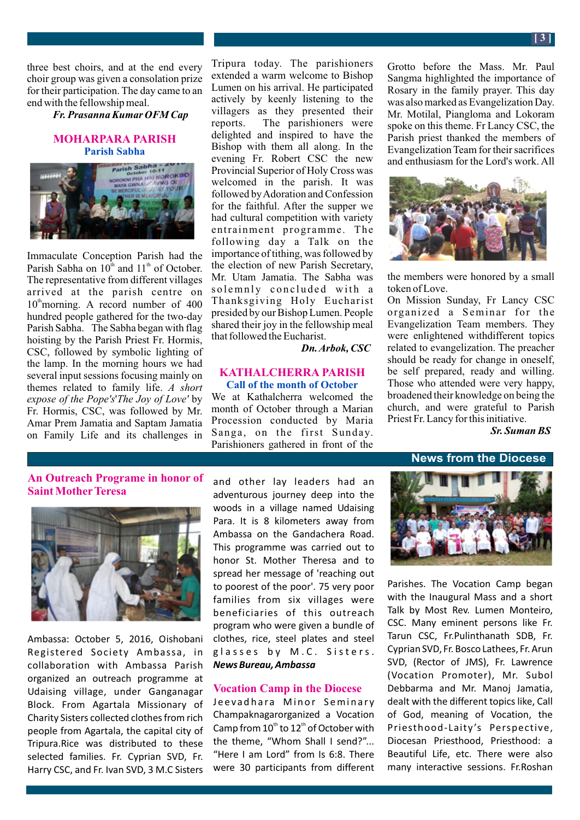three best choirs, and at the end every choir group was given a consolation prize for their participation. The day came to an end with the fellowship meal.

 *Fr. Prasanna Kumar OFM Cap*

### **MOHARPARA PARISH Parish Sabha**



Immaculate Conception Parish had the Parish Sabha on  $10^{\text{th}}$  and  $11^{\text{th}}$  of October. The representative from different villages arrived at the parish centre on  $10^{\text{th}}$  morning. A record number of 400 hundred people gathered for the two-day Parish Sabha. The Sabha began with flag hoisting by the Parish Priest Fr. Hormis, CSC, followed by symbolic lighting of the lamp. In the morning hours we had several input sessions focusing mainly on themes related to family life. *A short expose of the Pope's*'*The Joy of Love'* by Fr. Hormis, CSC, was followed by Mr. Amar Prem Jamatia and Saptam Jamatia on Family Life and its challenges in Tripura today. The parishioners extended a warm welcome to Bishop Lumen on his arrival. He participated actively by keenly listening to the villagers as they presented their reports. The parishioners were delighted and inspired to have the Bishop with them all along. In the evening Fr. Robert CSC the new Provincial Superior of Holy Cross was welcomed in the parish. It was followed by Adoration and Confession for the faithful. After the supper we had cultural competition with variety entrainment programme. The following day a Talk on the importance of tithing, was followed by the election of new Parish Secretary, Mr. Utam Jamatia. The Sabha was solemnly concluded with a Thanksgiving Holy Eucharist presided by our Bishop Lumen. People shared their joy in the fellowship meal that followed the Eucharist.

 *Dn. Arbok, CSC* 

### **KATHALCHERRA PARISH Call of the month of October**

We at Kathalcherra welcomed the month of October through a Marian Procession conducted by Maria Sanga, on the first Sunday. Parishioners gathered in front of the

Grotto before the Mass. Mr. Paul Sangma highlighted the importance of Rosary in the family prayer. This day was also marked as Evangelization Day. Mr. Motilal, Piangloma and Lokoram spoke on this theme. Fr Lancy CSC, the Parish priest thanked the members of Evangelization Team for their sacrifices and enthusiasm for the Lord's work. All



the members were honored by a small token of Love.

On Mission Sunday, Fr Lancy CSC organized a Seminar for the Evangelization Team members. They were enlightened withdifferent topics related to evangelization. The preacher should be ready for change in oneself, be self prepared, ready and willing. Those who attended were very happy, broadened their knowledge on being the church, and were grateful to Parish Priest Fr. Lancy for this initiative.

 *Sr. Suman BS*

### **News from the Diocese**

## **An Outreach Programe in honor of Saint MotherTeresa**



Ambassa: October 5, 2016, Oishobani Registered Society Ambassa, in collaboration with Ambassa Parish organized an outreach programme at Udaising village, under Ganganagar Block. From Agartala Missionary of Charity Sisters collected clothes from rich people from Agartala, the capital city of Tripura.Rice was distributed to these selected families. Fr. Cyprian SVD, Fr. Harry CSC, and Fr. Ivan SVD, 3 M.C Sisters

and other lay leaders had an adventurous journey deep into the woods in a village named Udaising Para. It is 8 kilometers away from Ambassa on the Gandachera Road. This programme was carried out to honor St. Mother Theresa and to spread her message of 'reaching out to poorest of the poor'. 75 very poor families from six villages were beneficiaries of this outreach program who were given a bundle of clothes, rice, steel plates and steel glasses by M.C. Sisters. *News Bureau, Ambassa*

### **Vocation Camp in the Diocese**

Jeevadhara Minor Seminary Champaknagarorganized a Vocation Camp from  $10<sup>th</sup>$  to  $12<sup>th</sup>$  of October with the theme, "Whom Shall I send?"... "Here I am Lord" from Is 6:8. There were 30 participants from different



Parishes. The Vocation Camp began with the Inaugural Mass and a short Talk by Most Rev. Lumen Monteiro, CSC. Many eminent persons like Fr. Tarun CSC, Fr.Pulinthanath SDB, Fr. Cyprian SVD, Fr. Bosco Lathees, Fr. Arun SVD, (Rector of JMS), Fr. Lawrence (Vocation Promoter), Mr. Subol Debbarma and Mr. Manoj Jamatia, dealt with the different topics like, Call of God, meaning of Vocation, the Priesthood-Laity 's Perspective, Diocesan Priesthood, Priesthood: a Beautiful Life, etc. There were also many interactive sessions. Fr.Roshan